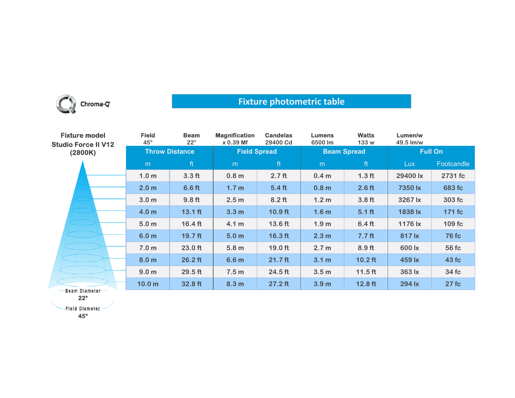

## **Fixture photometric table**

| <b>Fixture model</b><br><b>Studio Force II V12</b><br>(2800K) | <b>Field</b><br>$45^\circ$ | <b>Beam</b><br>$22^{\circ}$ | <b>Magnification</b><br>$x 0.39$ Mf | <b>Candelas</b><br>29400 Cd | <b>Lumens</b><br>6500 lm | <b>Watts</b><br>133 w | Lumen/w<br>49.5 lm/w |              |
|---------------------------------------------------------------|----------------------------|-----------------------------|-------------------------------------|-----------------------------|--------------------------|-----------------------|----------------------|--------------|
|                                                               | <b>Throw Distance</b>      |                             | <b>Field Spread</b>                 |                             | <b>Beam Spread</b>       |                       | <b>Full On</b>       |              |
|                                                               | m                          | ft                          | m                                   | ft                          | m                        | ft                    | Lux                  | Footcandle   |
|                                                               | 1.0 <sub>m</sub>           | 3.3 <sub>ft</sub>           | 0.8 <sub>m</sub>                    | 2.7 <sub>ft</sub>           | 0.4 <sub>m</sub>         | 1.3 <sub>ft</sub>     | 29400 lx             | 2731 fc      |
|                                                               | 2.0 <sub>m</sub>           | 6.6 <sub>ft</sub>           | 1.7 <sub>m</sub>                    | $5.4$ ft                    | 0.8 <sub>m</sub>         | $2.6$ ft              | 7350 lx              | 683 fc       |
|                                                               | 3.0 <sub>m</sub>           | 9.8 <sub>ft</sub>           | 2.5 <sub>m</sub>                    | $8.2$ ft                    | 1.2 <sub>m</sub>         | 3.8 <sub>ft</sub>     | 3267 lx              | 303 fc       |
|                                                               | 4.0 <sub>m</sub>           | $13.1$ ft                   | 3.3 <sub>m</sub>                    | $10.9$ ft                   | 1.6 <sub>m</sub>         | $5.1$ ft              | 1838 lx              | 171 fc       |
|                                                               | 5.0 <sub>m</sub>           | $16.4$ ft                   | 4.1 <sub>m</sub>                    | 13.6 ft                     | 1.9 <sub>m</sub>         | 6.4 <sub>ft</sub>     | 1176 lx              | 109 fc       |
|                                                               | 6.0 <sub>m</sub>           | 19.7 <sub>ft</sub>          | 5.0 <sub>m</sub>                    | $16.3$ ft                   | 2.3 <sub>m</sub>         | 7.7 <sub>ft</sub>     | 817 lx               | <b>76 fc</b> |
|                                                               | 7.0 <sub>m</sub>           | $23.0$ ft                   | 5.8 <sub>m</sub>                    | $19.0$ ft                   | 2.7 <sub>m</sub>         | $8.9$ ft              | 600 lx               | 56 fc        |
|                                                               | 8.0 <sub>m</sub>           | $26.2$ ft                   | 6.6 <sub>m</sub>                    | $21.7$ ft                   | 3.1 m                    | $10.2$ ft             | 459 lx               | 43 fc        |
|                                                               | 9.0 <sub>m</sub>           | $29.5$ ft                   | 7.5 <sub>m</sub>                    | $24.5$ ft                   | 3.5 <sub>m</sub>         | $11.5$ ft             | 363 lx               | 34 fc        |
| *** Beam Diameter ***                                         | 10.0 <sub>m</sub>          | 32.8 ft                     | 8.3 <sub>m</sub>                    | $27.2$ ft                   | 3.9 <sub>m</sub>         | $12.8$ ft             | 294 lx               | 27fc         |

**22°**

**45°**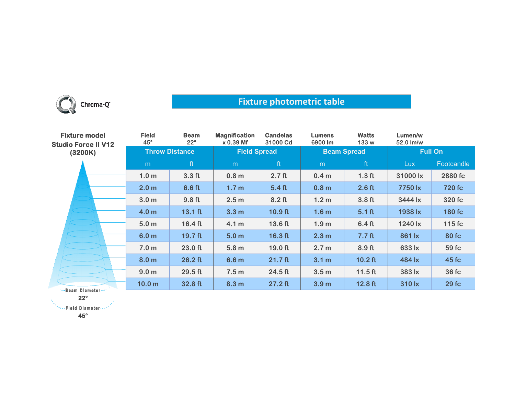

## **Fixture photometric table**

| <b>Fixture model</b><br><b>Studio Force II V12</b><br>(3200K) | <b>Field</b><br>$45^\circ$ | <b>Beam</b><br>$22^{\circ}$ | <b>Magnification</b><br>$x 0.39$ Mf | <b>Candelas</b><br>31000 Cd | <b>Lumens</b><br>6900 lm | <b>Watts</b><br>133 w | Lumen/w<br>52.0 lm/w |            |
|---------------------------------------------------------------|----------------------------|-----------------------------|-------------------------------------|-----------------------------|--------------------------|-----------------------|----------------------|------------|
|                                                               | <b>Throw Distance</b>      |                             | <b>Field Spread</b>                 |                             | <b>Beam Spread</b>       |                       | <b>Full On</b>       |            |
|                                                               | m                          | ft                          | m                                   | ft                          | m                        | ft                    | <b>Lux</b>           | Footcandle |
|                                                               | 1.0 <sub>m</sub>           | 3.3 <sub>ft</sub>           | 0.8 <sub>m</sub>                    | 2.7 <sub>ft</sub>           | 0.4 <sub>m</sub>         | 1.3 <sub>ft</sub>     | 31000 lx             | 2880 fc    |
|                                                               | 2.0 <sub>m</sub>           | 6.6 <sub>ft</sub>           | 1.7 <sub>m</sub>                    | 5.4 <sub>ft</sub>           | 0.8 <sub>m</sub>         | 2.6 <sub>ft</sub>     | 7750 lx              | 720 fc     |
|                                                               | 3.0 <sub>m</sub>           | 9.8 <sub>ft</sub>           | 2.5 <sub>m</sub>                    | $8.2$ ft                    | 1.2 <sub>m</sub>         | 3.8 <sub>ft</sub>     | 3444 lx              | 320 fc     |
|                                                               | 4.0 <sub>m</sub>           | $13.1$ ft                   | 3.3 <sub>m</sub>                    | $10.9$ ft                   | 1.6 <sub>m</sub>         | $5.1$ ft              | 1938 lx              | 180 fc     |
|                                                               | 5.0 <sub>m</sub>           | $16.4$ ft                   | 4.1 <sub>m</sub>                    | 13.6 ft                     | 1.9 <sub>m</sub>         | 6.4 <sub>ft</sub>     | 1240 lx              | $115$ fc   |
|                                                               | 6.0 <sub>m</sub>           | $19.7$ ft                   | 5.0 <sub>m</sub>                    | $16.3$ ft                   | 2.3 <sub>m</sub>         | 7.7 <sub>ft</sub>     | 861 lx               | 80 fc      |
|                                                               | 7.0 <sub>m</sub>           | $23.0$ ft                   | 5.8 <sub>m</sub>                    | $19.0$ ft                   | 2.7 <sub>m</sub>         | 8.9 <sub>ft</sub>     | 633 lx               | 59 fc      |
|                                                               | 8.0 <sub>m</sub>           | $26.2$ ft                   | 6.6 <sub>m</sub>                    | $21.7$ ft                   | 3.1 <sub>m</sub>         | $10.2$ ft             | 484 lx               | 45 fc      |
|                                                               | 9.0 <sub>m</sub>           | 29.5 ft                     | 7.5 <sub>m</sub>                    | 24.5 ft                     | 3.5 <sub>m</sub>         | $11.5$ ft             | 383 lx               | 36 fc      |
| ***Beam Diameter***                                           | 10.0 <sub>m</sub>          | 32.8 ft                     | 8.3 <sub>m</sub>                    | $27.2$ ft                   | 3.9 <sub>m</sub>         | $12.8$ ft             | 310 lx               | 29fc       |

**22°**

**SEE Diameter --**

**45°**